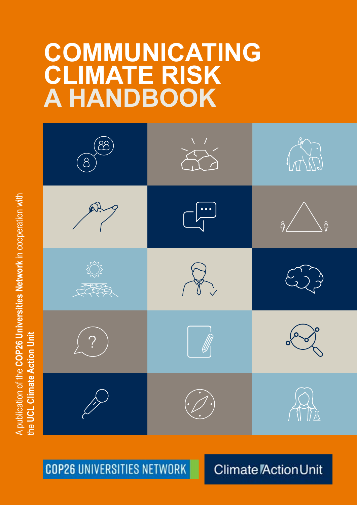# **COMMUNICATING CLIMATE RISK A HANDBOOK**



**COP26 UNIVERSITIES NETWORK** 

**Climate Action Unit** 

**Communicating climate risk: a handbook** 1

A publication of the **COP26 Universities Network** in cooperation with A publication of the COP26 Universities Network in cooperation with the **UCL Climate Action Unit**the UCL Climate Action Unit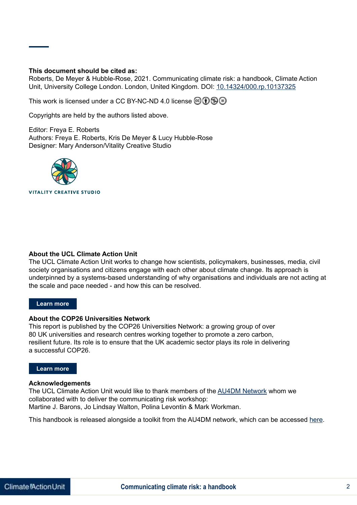#### **This document should be cited as:**

Roberts, De Meyer & Hubble-Rose, 2021. Communicating climate risk: a handbook, Climate Action Unit, University College London. London, United Kingdom. DOI: [10.14324/000.rp.10137325](https://doi.org/10.14324/000.rp.10137325)

This work is licensed under a CC BY-NC-ND 4.0 license  $\circledR \oplus \circledR$ 

Copyrights are held by the authors listed above.

Editor: Freya E. Roberts Authors: Freya E. Roberts, Kris De Meyer & Lucy Hubble-Rose Designer: Mary Anderson/Vitality Creative Studio



#### **About the UCL Climate Action Unit**

The UCL Climate Action Unit works to change how scientists, policymakers, businesses, media, civil society organisations and citizens engage with each other about climate change. Its approach is underpinned by a systems-based understanding of why organisations and individuals are not acting at the scale and pace needed - and how this can be resolved.

#### **Learn more**

#### **About the COP26 Universities Network**

This report is published by the COP26 Universities Network: a growing group of over 80 UK universities and research centres working together to promote a zero carbon, resilient future. Its role is to ensure that the UK academic sector plays its role in delivering a successful COP26.

#### **Learn more**

#### **Acknowledgements**

The UCL Climate Action Unit would like to thank members of the [AU4DM Network](https://au4dmnetworks.co.uk) whom we collaborated with to deliver the communicating risk workshop: Martine J. Barons, Jo Lindsay Walton, Polina Levontin & Mark Workman.

This handbook is released alongside a toolkit from the AU4DM network, which can be accessed [here](https://www.cambridge.org/engage/coe/article-details/61795d60ac379f8ee5c0f3a5).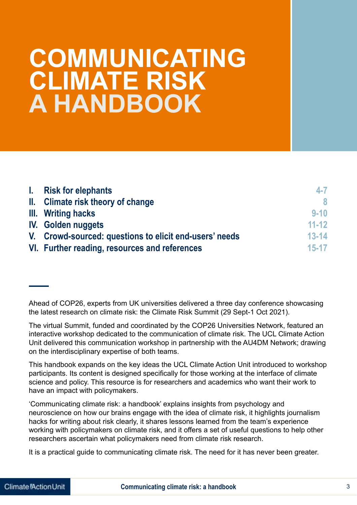## **COMMUNICATING CLIMATE RISK A HANDBOOK**

| I. | <b>Risk for elephants</b>                              | $4 - 7$   |
|----|--------------------------------------------------------|-----------|
|    | II. Climate risk theory of change                      | 8         |
|    | III. Writing hacks                                     | $9 - 10$  |
|    | <b>IV.</b> Golden nuggets                              | $11 - 12$ |
|    | V. Crowd-sourced: questions to elicit end-users' needs | $13 - 14$ |
|    | VI. Further reading, resources and references          | $15 - 17$ |

Ahead of COP26, experts from UK universities delivered a three day conference showcasing the latest research on climate risk: the Climate Risk Summit (29 Sept-1 Oct 2021).

The virtual Summit, funded and coordinated by the COP26 Universities Network, featured an interactive workshop dedicated to the communication of climate risk. The UCL Climate Action Unit delivered this communication workshop in partnership with the AU4DM Network; drawing on the interdisciplinary expertise of both teams.

This handbook expands on the key ideas the UCL Climate Action Unit introduced to workshop participants. Its content is designed specifically for those working at the interface of climate science and policy. This resource is for researchers and academics who want their work to have an impact with policymakers.

'Communicating climate risk: a handbook' explains insights from psychology and neuroscience on how our brains engage with the idea of climate risk, it highlights journalism hacks for writing about risk clearly, it shares lessons learned from the team's experience working with policymakers on climate risk, and it offers a set of useful questions to help other researchers ascertain what policymakers need from climate risk research.

It is a practical guide to communicating climate risk. The need for it has never been greater.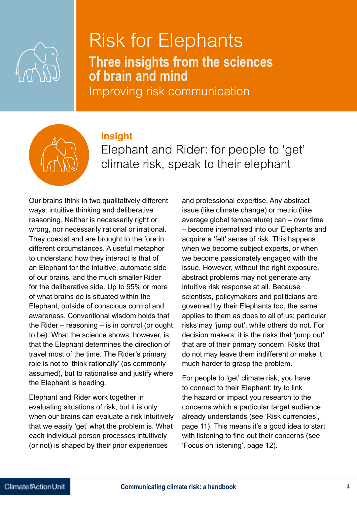

### Risk for Elephants **Three insights from the sciences of brain and mind**

Improving risk communication

#### **Insight**



Elephant and Rider: for people to 'get' climate risk, speak to their elephant

Our brains think in two qualitatively different ways: intuitive thinking and deliberative reasoning. Neither is necessarily right or wrong, nor necessarily rational or irrational. They coexist and are brought to the fore in different circumstances. A useful metaphor to understand how they interact is that of an Elephant for the intuitive, automatic side of our brains, and the much smaller Rider for the deliberative side. Up to 95% or more of what brains do is situated within the Elephant, outside of conscious control and awareness. Conventional wisdom holds that the Rider – reasoning – is in control (or ought to be). What the science shows, however, is that the Elephant determines the direction of travel most of the time. The Rider's primary role is not to 'think rationally' (as commonly assumed), but to rationalise and justify where the Elephant is heading.

Elephant and Rider work together in evaluating situations of risk, but it is only when our brains can evaluate a risk intuitively that we easily 'get' what the problem is. What each individual person processes intuitively (or not) is shaped by their prior experiences

and professional expertise. Any abstract issue (like climate change) or metric (like average global temperature) can – over time – become internalised into our Elephants and acquire a 'felt' sense of risk. This happens when we become subject experts, or when we become passionately engaged with the issue. However, without the right exposure, abstract problems may not generate any intuitive risk response at all. Because scientists, policymakers and politicians are governed by their Elephants too, the same applies to them as does to all of us: particular risks may 'jump out', while others do not. For decision makers, it is the risks that 'jump out' that are of their primary concern. Risks that do not may leave them indifferent or make it much harder to grasp the problem.

For people to 'get' climate risk, you have to connect to their Elephant: try to link the hazard or impact you research to the concerns which a particular target audience already understands (see 'Risk currencies', page 11). This means it's a good idea to start with listening to find out their concerns (see 'Focus on listening', page 12).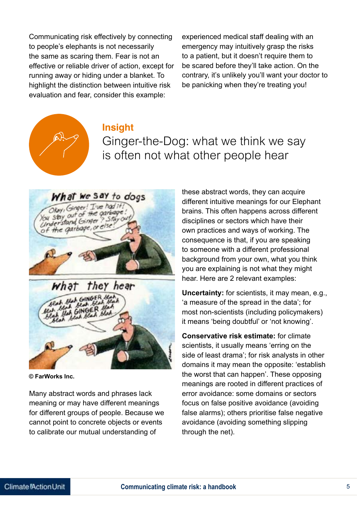Communicating risk effectively by connecting to people's elephants is not necessarily the same as scaring them. Fear is not an effective or reliable driver of action, except for running away or hiding under a blanket. To highlight the distinction between intuitive risk evaluation and fear, consider this example:

experienced medical staff dealing with an emergency may intuitively grasp the risks to a patient, but it doesn't require them to be scared before they'll take action. On the contrary, it's unlikely you'll want your doctor to be panicking when they're treating you!

### **Insight**

Ginger-the-Dog: what we think we say is often not what other people hear



**© FarWorks Inc.**

Many abstract words and phrases lack meaning or may have different meanings for different groups of people. Because we cannot point to concrete objects or events to calibrate our mutual understanding of

these abstract words, they can acquire different intuitive meanings for our Elephant brains. This often happens across different disciplines or sectors which have their own practices and ways of working. The consequence is that, if you are speaking to someone with a different professional background from your own, what you think you are explaining is not what they might hear. Here are 2 relevant examples:

**Uncertainty:** for scientists, it may mean, e.g., 'a measure of the spread in the data'; for most non-scientists (including policymakers) it means 'being doubtful' or 'not knowing'.

**Conservative risk estimate:** for climate scientists, it usually means 'erring on the side of least drama'; for risk analysts in other domains it may mean the opposite: 'establish the worst that can happen'. These opposing meanings are rooted in different practices of error avoidance: some domains or sectors focus on false positive avoidance (avoiding false alarms); others prioritise false negative avoidance (avoiding something slipping through the net).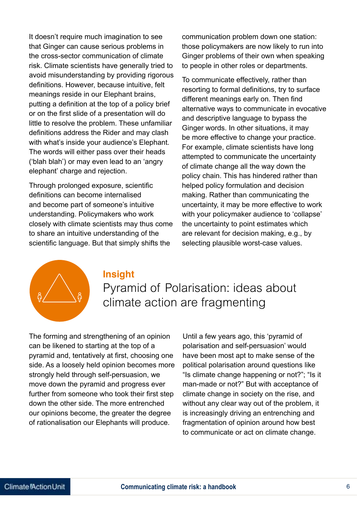It doesn't require much imagination to see that Ginger can cause serious problems in the cross-sector communication of climate risk. Climate scientists have generally tried to avoid misunderstanding by providing rigorous definitions. However, because intuitive, felt meanings reside in our Elephant brains, putting a definition at the top of a policy brief or on the first slide of a presentation will do little to resolve the problem. These unfamiliar definitions address the Rider and may clash with what's inside your audience's Elephant. The words will either pass over their heads ('blah blah') or may even lead to an 'angry elephant' charge and rejection.

Through prolonged exposure, scientific definitions can become internalised and become part of someone's intuitive understanding. Policymakers who work closely with climate scientists may thus come to share an intuitive understanding of the scientific language. But that simply shifts the

communication problem down one station: those policymakers are now likely to run into Ginger problems of their own when speaking to people in other roles or departments.

To communicate effectively, rather than resorting to formal definitions, try to surface different meanings early on. Then find alternative ways to communicate in evocative and descriptive language to bypass the Ginger words. In other situations, it may be more effective to change your practice. For example, climate scientists have long attempted to communicate the uncertainty of climate change all the way down the policy chain. This has hindered rather than helped policy formulation and decision making. Rather than communicating the uncertainty, it may be more effective to work with your policymaker audience to 'collapse' the uncertainty to point estimates which are relevant for decision making, e.g., by selecting plausible worst-case values.



#### **Insight**

Pyramid of Polarisation: ideas about climate action are fragmenting

The forming and strengthening of an opinion can be likened to starting at the top of a pyramid and, tentatively at first, choosing one side. As a loosely held opinion becomes more strongly held through self-persuasion, we move down the pyramid and progress ever further from someone who took their first step down the other side. The more entrenched our opinions become, the greater the degree of rationalisation our Elephants will produce.

Until a few years ago, this 'pyramid of polarisation and self-persuasion' would have been most apt to make sense of the political polarisation around questions like "Is climate change happening or not?"; "Is it man-made or not?" But with acceptance of climate change in society on the rise, and without any clear way out of the problem, it is increasingly driving an entrenching and fragmentation of opinion around how best to communicate or act on climate change.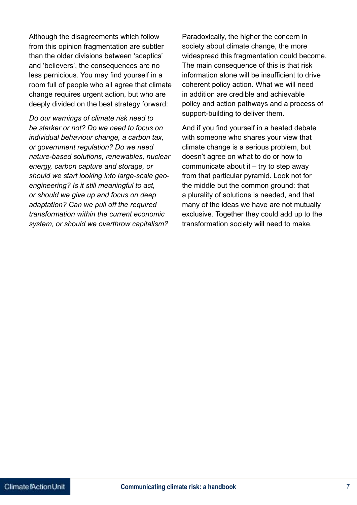Although the disagreements which follow from this opinion fragmentation are subtler than the older divisions between 'sceptics' and 'believers', the consequences are no less pernicious. You may find yourself in a room full of people who all agree that climate change requires urgent action, but who are deeply divided on the best strategy forward:

*Do our warnings of climate risk need to be starker or not? Do we need to focus on individual behaviour change, a carbon tax, or government regulation? Do we need nature-based solutions, renewables, nuclear energy, carbon capture and storage, or should we start looking into large-scale geoengineering? Is it still meaningful to act, or should we give up and focus on deep adaptation? Can we pull off the required transformation within the current economic system, or should we overthrow capitalism?*

Paradoxically, the higher the concern in society about climate change, the more widespread this fragmentation could become. The main consequence of this is that risk information alone will be insufficient to drive coherent policy action. What we will need in addition are credible and achievable policy and action pathways and a process of support-building to deliver them.

And if you find yourself in a heated debate with someone who shares your view that climate change is a serious problem, but doesn't agree on what to do or how to communicate about it – try to step away from that particular pyramid. Look not for the middle but the common ground: that a plurality of solutions is needed, and that many of the ideas we have are not mutually exclusive. Together they could add up to the transformation society will need to make.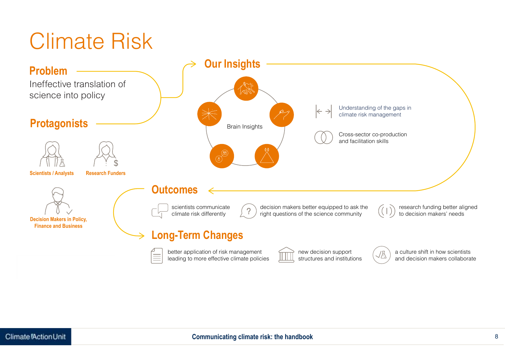# Climate Risk

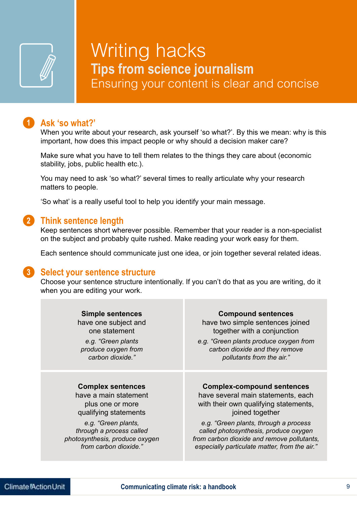

### Writing hacks **Tips from science journalism** Ensuring your content is clear and concise

#### **Ask 'so what?' 1**

When you write about your research, ask yourself 'so what?'. By this we mean: why is this important, how does this impact people or why should a decision maker care?

Make sure what you have to tell them relates to the things they care about (economic stability, jobs, public health etc.).

You may need to ask 'so what?' several times to really articulate why your research matters to people.

'So what' is a really useful tool to help you identify your main message.

#### **Think sentence length 2**

Keep sentences short wherever possible. Remember that your reader is a non-specialist on the subject and probably quite rushed. Make reading your work easy for them.

Each sentence should communicate just one idea, or join together several related ideas.

#### **Select your sentence structure 3**

Choose your sentence structure intentionally. If you can't do that as you are writing, do it when you are editing your work.

| <b>Simple sentences</b>        | <b>Compound sentences</b>                     |
|--------------------------------|-----------------------------------------------|
| have one subject and           | have two simple sentences joined              |
| one statement                  | together with a conjunction                   |
| e.g. "Green plants             | e.g. "Green plants produce oxygen from        |
| produce oxygen from            | carbon dioxide and they remove                |
| carbon dioxide."               | pollutants from the air."                     |
| <b>Complex sentences</b>       | <b>Complex-compound sentences</b>             |
| have a main statement          | have several main statements, each            |
| plus one or more               | with their own qualifying statements,         |
| qualifying statements          | joined together                               |
| e.g. "Green plants,            | e.g. "Green plants, through a process         |
| through a process called       | called photosynthesis, produce oxygen         |
| photosynthesis, produce oxygen | from carbon dioxide and remove pollutants,    |
| from carbon dioxide."          | especially particulate matter, from the air." |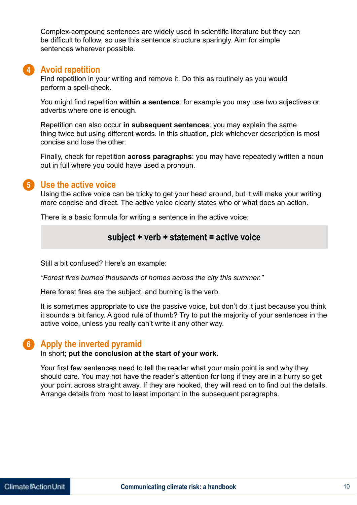Complex-compound sentences are widely used in scientific literature but they can be difficult to follow, so use this sentence structure sparingly. Aim for simple sentences wherever possible.

#### **Avoid repetition 4**

Find repetition in your writing and remove it. Do this as routinely as you would perform a spell-check.

You might find repetition **within a sentence**: for example you may use two adjectives or adverbs where one is enough.

Repetition can also occur **in subsequent sentences**: you may explain the same thing twice but using different words. In this situation, pick whichever description is most concise and lose the other.

Finally, check for repetition **across paragraphs**: you may have repeatedly written a noun out in full where you could have used a pronoun.

#### **Use the active voice 5**

Using the active voice can be tricky to get your head around, but it will make your writing more concise and direct. The active voice clearly states who or what does an action.

There is a basic formula for writing a sentence in the active voice:

#### **subject + verb + statement = active voice**

Still a bit confused? Here's an example:

*"Forest fires burned thousands of homes across the city this summer."*

Here forest fires are the subject, and burning is the verb.

It is sometimes appropriate to use the passive voice, but don't do it just because you think it sounds a bit fancy. A good rule of thumb? Try to put the majority of your sentences in the active voice, unless you really can't write it any other way.

#### **Apply the inverted pyramid 6**

#### In short; **put the conclusion at the start of your work.**

Your first few sentences need to tell the reader what your main point is and why they should care. You may not have the reader's attention for long if they are in a hurry so get your point across straight away. If they are hooked, they will read on to find out the details. Arrange details from most to least important in the subsequent paragraphs.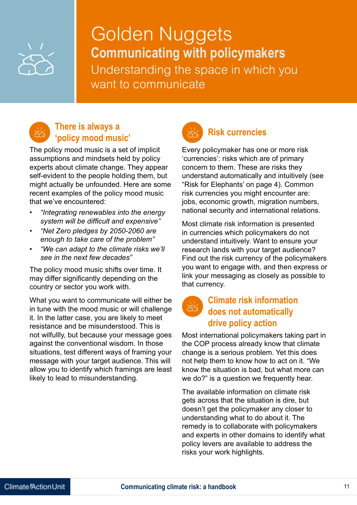

Golden Nuggets **Communicating with policymakers** Understanding the space in which you want to communicate



#### **There is always a Primere is always a**<br> **Solicy mood music' Risk currencies**

The policy mood music is a set of implicit assumptions and mindsets held by policy experts about climate change. They appear self-evident to the people holding them, but might actually be unfounded. Here are some recent examples of the policy mood music that we've encountered:

- *• "Integrating renewables into the energy system will be difficult and expensive"*
- *• "Net Zero pledges by 2050-2060 are enough to take care of the problem"*
- *• "We can adapt to the climate risks we'll see in the next few decades"*

The policy mood music shifts over time. It may differ significantly depending on the country or sector you work with.

What you want to communicate will either be in tune with the mood music or will challenge it. In the latter case, you are likely to meet resistance and be misunderstood. This is not wilfullly, but because your message goes against the conventional wisdom. In those situations, test different ways of framing your message with your target audience. This will allow you to identify which framings are least likely to lead to misunderstanding.

Every policymaker has one or more risk 'currencies': risks which are of primary concern to them. These are risks they understand automatically and intuitively (see "Risk for Elephants' on page 4). Common risk currencies you might encounter are: jobs, economic growth, migration numbers, national security and international relations.

Most climate risk information is presented in currencies which policymakers do not understand intuitively. Want to ensure your research lands with your target audience? Find out the risk currency of the policymakers you want to engage with, and then express or link your messaging as closely as possible to that currency.

#### **Climate risk information does not automatically drive policy action**

Most international policymakers taking part in the COP process already know that climate change is a serious problem. Yet this does not help them to know how to act on it. "We know the situation is bad, but what more can we do?" is a question we frequently hear.

The available information on climate risk gets across that the situation is dire, but doesn't get the policymaker any closer to understanding what to do about it. The remedy is to collaborate with policymakers and experts in other domains to identify what policy levers are available to address the risks your work highlights.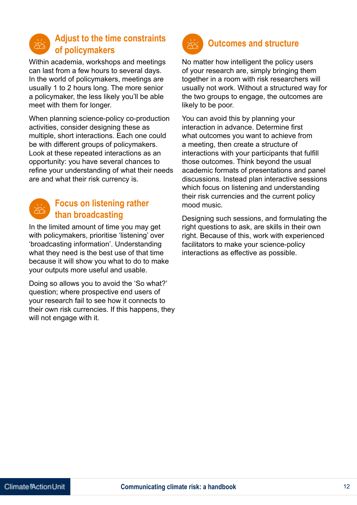

#### **Adjust to the time constraints of policymakers**

Within academia, workshops and meetings can last from a few hours to several days. In the world of policymakers, meetings are usually 1 to 2 hours long. The more senior a policymaker, the less likely you'll be able meet with them for longer.

When planning science-policy co-production activities, consider designing these as multiple, short interactions. Each one could be with different groups of policymakers. Look at these repeated interactions as an opportunity: you have several chances to refine your understanding of what their needs are and what their risk currency is.



#### **Focus on listening rather than broadcasting**

In the limited amount of time you may get with policymakers, prioritise 'listening' over 'broadcasting information'. Understanding what they need is the best use of that time because it will show you what to do to make your outputs more useful and usable.

Doing so allows you to avoid the 'So what?' question; where prospective end users of your research fail to see how it connects to their own risk currencies. If this happens, they will not engage with it.



### **Outcomes and structure**

No matter how intelligent the policy users of your research are, simply bringing them together in a room with risk researchers will usually not work. Without a structured way for the two groups to engage, the outcomes are likely to be poor.

You can avoid this by planning your interaction in advance. Determine first what outcomes you want to achieve from a meeting, then create a structure of interactions with your participants that fulfill those outcomes. Think beyond the usual academic formats of presentations and panel discussions. Instead plan interactive sessions which focus on listening and understanding their risk currencies and the current policy mood music.

Designing such sessions, and formulating the right questions to ask, are skills in their own right. Because of this, work with experienced facilitators to make your science-policy interactions as effective as possible.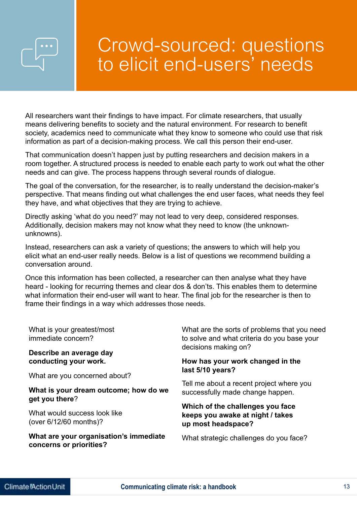## Crowd-sourced: questions to elicit end-users' needs

All researchers want their findings to have impact. For climate researchers, that usually means delivering benefits to society and the natural environment. For research to benefit society, academics need to communicate what they know to someone who could use that risk information as part of a decision-making process. We call this person their end-user.

That communication doesn't happen just by putting researchers and decision makers in a room together. A structured process is needed to enable each party to work out what the other needs and can give. The process happens through several rounds of dialogue.

The goal of the conversation, for the researcher, is to really understand the decision-maker's perspective. That means finding out what challenges the end user faces, what needs they feel they have, and what objectives that they are trying to achieve.

Directly asking 'what do you need?' may not lead to very deep, considered responses. Additionally, decision makers may not know what they need to know (the unknownunknowns).

Instead, researchers can ask a variety of questions; the answers to which will help you elicit what an end-user really needs. Below is a list of questions we recommend building a conversation around.

Once this information has been collected, a researcher can then analyse what they have heard - looking for recurring themes and clear dos & don'ts. This enables them to determine what information their end-user will want to hear. The final job for the researcher is then to frame their findings in a way which addresses those needs.

| What is your greatest/most<br>immediate concern?                                         | What are the sorts of problems that you need<br>to solve and what criteria do you base your<br>decisions making on?<br>How has your work changed in the<br>last 5/10 years? |  |
|------------------------------------------------------------------------------------------|-----------------------------------------------------------------------------------------------------------------------------------------------------------------------------|--|
| Describe an average day<br>conducting your work.                                         |                                                                                                                                                                             |  |
| What are you concerned about?<br>What is your dream outcome; how do we<br>get you there? | Tell me about a recent project where you<br>successfully made change happen.                                                                                                |  |
| What would success look like<br>(over 6/12/60 months)?                                   | Which of the challenges you face<br>keeps you awake at night / takes<br>up most headspace?                                                                                  |  |
| What are your organisation's immediate<br>concerns or priorities?                        | What strategic challenges do you face?                                                                                                                                      |  |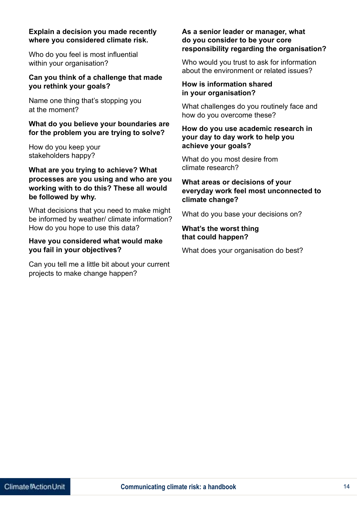#### **Explain a decision you made recently where you considered climate risk.**

Who do you feel is most influential within your organisation?

#### **Can you think of a challenge that made you rethink your goals?**

Name one thing that's stopping you at the moment?

#### **What do you believe your boundaries are for the problem you are trying to solve?**

How do you keep your stakeholders happy?

#### **What are you trying to achieve? What processes are you using and who are you working with to do this? These all would be followed by why.**

What decisions that you need to make might be informed by weather/ climate information? How do you hope to use this data?

#### **Have you considered what would make you fail in your objectives?**

Can you tell me a little bit about your current projects to make change happen?

#### **As a senior leader or manager, what do you consider to be your core responsibility regarding the organisation?**

Who would you trust to ask for information about the environment or related issues?

#### **How is information shared in your organisation?**

What challenges do you routinely face and how do you overcome these?

#### **How do you use academic research in your day to day work to help you achieve your goals?**

What do you most desire from climate research?

#### **What areas or decisions of your everyday work feel most unconnected to climate change?**

What do you base your decisions on?

#### **What's the worst thing that could happen?**

What does your organisation do best?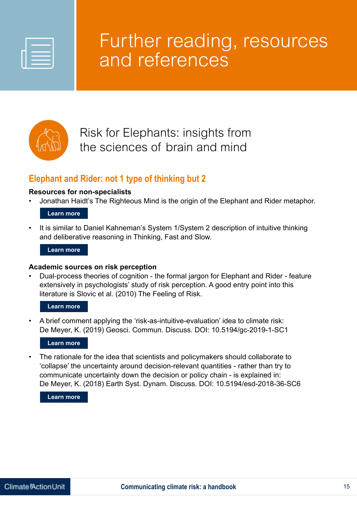

## Further reading, resources and references



### Risk for Elephants: insights from the sciences of brain and mind

#### **Elephant and Rider: not 1 type of thinking but 2**

#### **Resources for non-specialists**

• Jonathan Haidt's The Righteous Mind is the origin of the Elephant and Rider metaphor.

#### **Learn more**

It is similar to Daniel Kahneman's System 1/System 2 description of intuitive thinking and deliberative reasoning in Thinking, Fast and Slow.

#### **Learn more**

#### **Academic sources on risk perception**

• Dual-process theories of cognition - the formal jargon for Elephant and Rider - feature extensively in psychologists' study of risk perception. A good entry point into this literature is Slovic et al. (2010) The Feeling of Risk.

#### **Learn more**

• A brief comment applying the 'risk-as-intuitive-evaluation' idea to climate risk: De Meyer, K. (2019) Geosci. Commun. Discuss. DOI: 10.5194/gc-2019-1-SC1

#### **Learn more**

The rationale for the idea that scientists and policymakers should collaborate to 'collapse' the uncertainty around decision-relevant quantities - rather than try to communicate uncertainty down the decision or policy chain - is explained in: De Meyer, K. (2018) Earth Syst. Dynam. Discuss. DOI: 10.5194/esd-2018-36-SC6

#### **Learn more**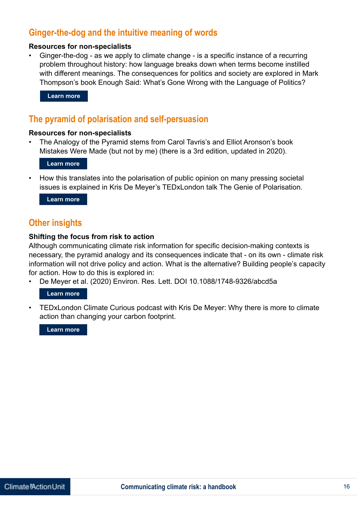#### **Ginger-the-dog and the intuitive meaning of words**

#### **Resources for non-specialists**

• Ginger-the-dog - as we apply to climate change - is a specific instance of a recurring problem throughout history: how language breaks down when terms become instilled with different meanings. The consequences for politics and society are explored in Mark Thompson's book Enough Said: What's Gone Wrong with the Language of Politics?

**Learn more** 

#### **The pyramid of polarisation and self-persuasion**

#### **Resources for non-specialists**

• The Analogy of the Pyramid stems from Carol Tavris's and Elliot Aronson's book Mistakes Were Made (but not by me) (there is a 3rd edition, updated in 2020).

**Learn more**

• How this translates into the polarisation of public opinion on many pressing societal issues is explained in Kris De Meyer's TEDxLondon talk The Genie of Polarisation.

**Learn more**

#### **Other insights**

#### **Shifting the focus from risk to action**

Although communicating climate risk information for specific decision-making contexts is necessary, the pyramid analogy and its consequences indicate that - on its own - climate risk information will not drive policy and action. What is the alternative? Building people's capacity for action. How to do this is explored in: Learn more<br> **Dyramid (**<br> **Learn more**<br> **Learn more**<br> **Learn more**<br> **Learn more<br>
<b>r insights**<br> **ng the foctor of the property of the property<br>
<b>Learn more**<br> **Learn more**<br> **Learn more**<br> **Learn more**<br> **Learn more**<br> **Learn m** 

• De Meyer et al. (2020) Environ. Res. Lett. DOI 10.1088/1748-9326/abcd5a

#### **Learn more**

• TEDxLondon Climate Curious podcast with Kris De Meyer: Why there is more to climate action than changing your carbon footprint.

**Learn more**